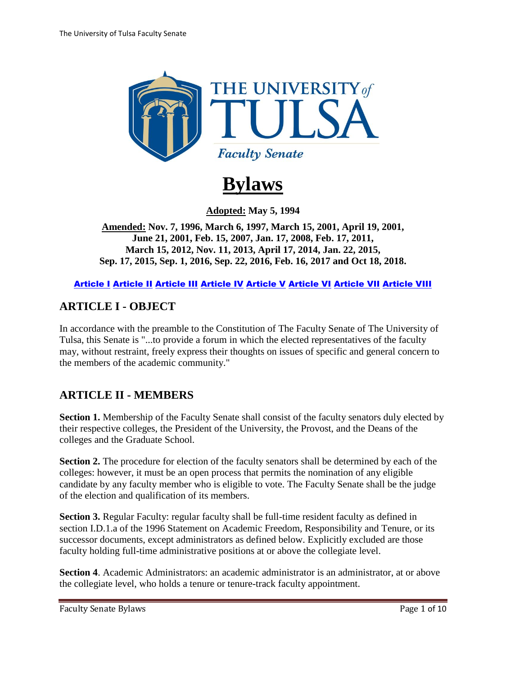

# **Bylaws**

**Adopted: May 5, 1994** 

<span id="page-0-2"></span>**Amended: Nov. 7, 1996, March 6, 1997, March 15, 2001, April 19, 2001, June 21, 2001, Feb. 15, 2007, Jan. 17, 2008, Feb. 17, 2011, March 15, 2012, Nov. 11, 2013, April 17, 2014, Jan. 22, 2015, Sep. 17, 2015, Sep. 1, 2016, Sep. 22, 2016, Feb. 16, 2017 and Oct 18, 2018.**

[Article I](#page-0-0) [Article II](#page-0-1) [Article III](#page-2-0) [Article IV](#page-3-0) [Article V](#page-4-0) [Article VI](#page-5-0) [Article VII](#page-8-0) [Article VIII](#page-9-0)

#### <span id="page-0-0"></span>**ARTICLE I - OBJECT**

In accordance with the preamble to the Constitution of The Faculty Senate of The University of Tulsa, this Senate is "...to provide a forum in which the elected representatives of the faculty may, without restraint, freely express their thoughts on issues of specific and general concern to the members of the academic community."

#### <span id="page-0-1"></span>**ARTICLE II - MEMBERS**

**Section 1.** Membership of the Faculty Senate shall consist of the faculty senators duly elected by their respective colleges, the President of the University, the Provost, and the Deans of the colleges and the Graduate School.

**Section 2.** The procedure for election of the faculty senators shall be determined by each of the colleges: however, it must be an open process that permits the nomination of any eligible candidate by any faculty member who is eligible to vote. The Faculty Senate shall be the judge of the election and qualification of its members.

**Section 3.** Regular Faculty: regular faculty shall be full-time resident faculty as defined in section I.D.1.a of the 1996 Statement on Academic Freedom, Responsibility and Tenure, or its successor documents, except administrators as defined below. Explicitly excluded are those faculty holding full-time administrative positions at or above the collegiate level.

**Section 4**. Academic Administrators: an academic administrator is an administrator, at or above the collegiate level, who holds a tenure or tenure-track faculty appointment.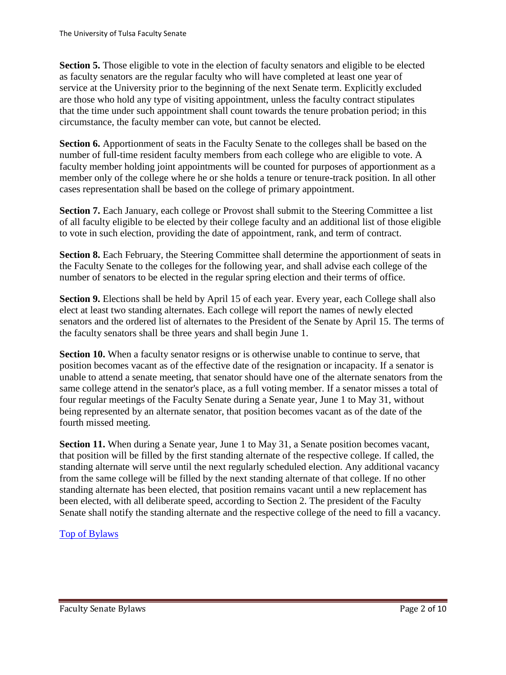**Section 5.** Those eligible to vote in the election of faculty senators and eligible to be elected as faculty senators are the regular faculty who will have completed at least one year of service at the University prior to the beginning of the next Senate term. Explicitly excluded are those who hold any type of visiting appointment, unless the faculty contract stipulates that the time under such appointment shall count towards the tenure probation period; in this circumstance, the faculty member can vote, but cannot be elected.

**Section 6.** Apportionment of seats in the Faculty Senate to the colleges shall be based on the number of full-time resident faculty members from each college who are eligible to vote. A faculty member holding joint appointments will be counted for purposes of apportionment as a member only of the college where he or she holds a tenure or tenure-track position. In all other cases representation shall be based on the college of primary appointment.

**Section 7.** Each January, each college or Provost shall submit to the Steering Committee a list of all faculty eligible to be elected by their college faculty and an additional list of those eligible to vote in such election, providing the date of appointment, rank, and term of contract.

**Section 8.** Each February, the Steering Committee shall determine the apportionment of seats in the Faculty Senate to the colleges for the following year, and shall advise each college of the number of senators to be elected in the regular spring election and their terms of office.

**Section 9.** Elections shall be held by April 15 of each year. Every year, each College shall also elect at least two standing alternates. Each college will report the names of newly elected senators and the ordered list of alternates to the President of the Senate by April 15. The terms of the faculty senators shall be three years and shall begin June 1.

**Section 10.** When a faculty senator resigns or is otherwise unable to continue to serve, that position becomes vacant as of the effective date of the resignation or incapacity. If a senator is unable to attend a senate meeting, that senator should have one of the alternate senators from the same college attend in the senator's place, as a full voting member. If a senator misses a total of four regular meetings of the Faculty Senate during a Senate year, June 1 to May 31, without being represented by an alternate senator, that position becomes vacant as of the date of the fourth missed meeting.

**Section 11.** When during a Senate year, June 1 to May 31, a Senate position becomes vacant, that position will be filled by the first standing alternate of the respective college. If called, the standing alternate will serve until the next regularly scheduled election. Any additional vacancy from the same college will be filled by the next standing alternate of that college. If no other standing alternate has been elected, that position remains vacant until a new replacement has been elected, with all deliberate speed, according to Section 2. The president of the Faculty Senate shall notify the standing alternate and the respective college of the need to fill a vacancy.

#### [Top of Bylaws](#page-0-2)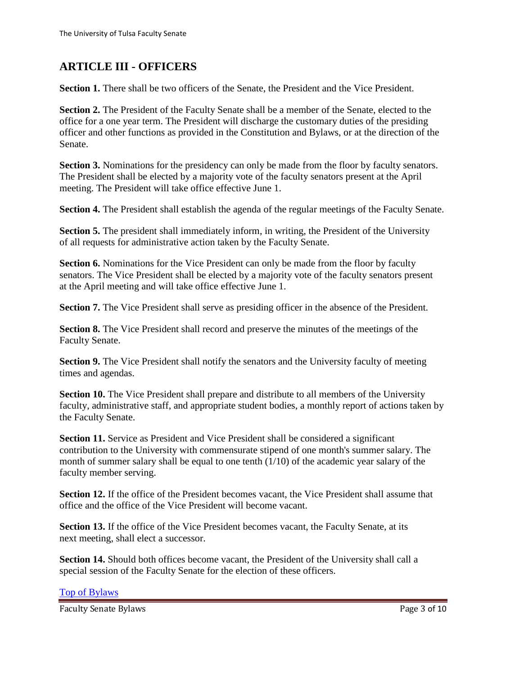# <span id="page-2-0"></span>**ARTICLE III - OFFICERS**

**Section 1.** There shall be two officers of the Senate, the President and the Vice President.

**Section 2.** The President of the Faculty Senate shall be a member of the Senate, elected to the office for a one year term. The President will discharge the customary duties of the presiding officer and other functions as provided in the Constitution and Bylaws, or at the direction of the Senate.

**Section 3.** Nominations for the presidency can only be made from the floor by faculty senators. The President shall be elected by a majority vote of the faculty senators present at the April meeting. The President will take office effective June 1.

**Section 4.** The President shall establish the agenda of the regular meetings of the Faculty Senate.

**Section 5.** The president shall immediately inform, in writing, the President of the University of all requests for administrative action taken by the Faculty Senate.

**Section 6.** Nominations for the Vice President can only be made from the floor by faculty senators. The Vice President shall be elected by a majority vote of the faculty senators present at the April meeting and will take office effective June 1.

**Section 7.** The Vice President shall serve as presiding officer in the absence of the President.

**Section 8.** The Vice President shall record and preserve the minutes of the meetings of the Faculty Senate.

**Section 9.** The Vice President shall notify the senators and the University faculty of meeting times and agendas.

**Section 10.** The Vice President shall prepare and distribute to all members of the University faculty, administrative staff, and appropriate student bodies, a monthly report of actions taken by the Faculty Senate.

**Section 11.** Service as President and Vice President shall be considered a significant contribution to the University with commensurate stipend of one month's summer salary. The month of summer salary shall be equal to one tenth (1/10) of the academic year salary of the faculty member serving.

**Section 12.** If the office of the President becomes vacant, the Vice President shall assume that office and the office of the Vice President will become vacant.

**Section 13.** If the office of the Vice President becomes vacant, the Faculty Senate, at its next meeting, shall elect a successor.

**Section 14.** Should both offices become vacant, the President of the University shall call a special session of the Faculty Senate for the election of these officers.

#### [Top of Bylaws](#page-0-2)

Faculty Senate Bylaws **Page 3 of 10**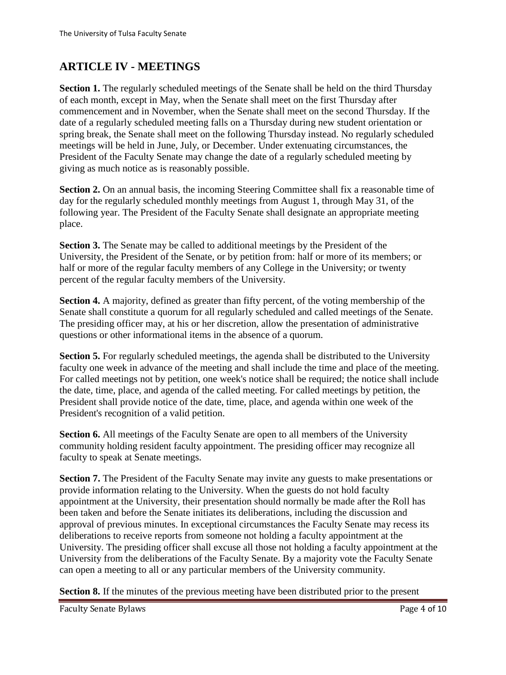# <span id="page-3-0"></span>**ARTICLE IV - MEETINGS**

**Section 1.** The regularly scheduled meetings of the Senate shall be held on the third Thursday of each month, except in May, when the Senate shall meet on the first Thursday after commencement and in November, when the Senate shall meet on the second Thursday. If the date of a regularly scheduled meeting falls on a Thursday during new student orientation or spring break, the Senate shall meet on the following Thursday instead. No regularly scheduled meetings will be held in June, July, or December. Under extenuating circumstances, the President of the Faculty Senate may change the date of a regularly scheduled meeting by giving as much notice as is reasonably possible.

**Section 2.** On an annual basis, the incoming Steering Committee shall fix a reasonable time of day for the regularly scheduled monthly meetings from August 1, through May 31, of the following year. The President of the Faculty Senate shall designate an appropriate meeting place.

**Section 3.** The Senate may be called to additional meetings by the President of the University, the President of the Senate, or by petition from: half or more of its members; or half or more of the regular faculty members of any College in the University; or twenty percent of the regular faculty members of the University.

**Section 4.** A majority, defined as greater than fifty percent, of the voting membership of the Senate shall constitute a quorum for all regularly scheduled and called meetings of the Senate. The presiding officer may, at his or her discretion, allow the presentation of administrative questions or other informational items in the absence of a quorum.

**Section 5.** For regularly scheduled meetings, the agenda shall be distributed to the University faculty one week in advance of the meeting and shall include the time and place of the meeting. For called meetings not by petition, one week's notice shall be required; the notice shall include the date, time, place, and agenda of the called meeting. For called meetings by petition, the President shall provide notice of the date, time, place, and agenda within one week of the President's recognition of a valid petition.

**Section 6.** All meetings of the Faculty Senate are open to all members of the University community holding resident faculty appointment. The presiding officer may recognize all faculty to speak at Senate meetings.

Section 7. The President of the Faculty Senate may invite any guests to make presentations or provide information relating to the University. When the guests do not hold faculty appointment at the University, their presentation should normally be made after the Roll has been taken and before the Senate initiates its deliberations, including the discussion and approval of previous minutes. In exceptional circumstances the Faculty Senate may recess its deliberations to receive reports from someone not holding a faculty appointment at the University. The presiding officer shall excuse all those not holding a faculty appointment at the University from the deliberations of the Faculty Senate. By a majority vote the Faculty Senate can open a meeting to all or any particular members of the University community.

**Section 8.** If the minutes of the previous meeting have been distributed prior to the present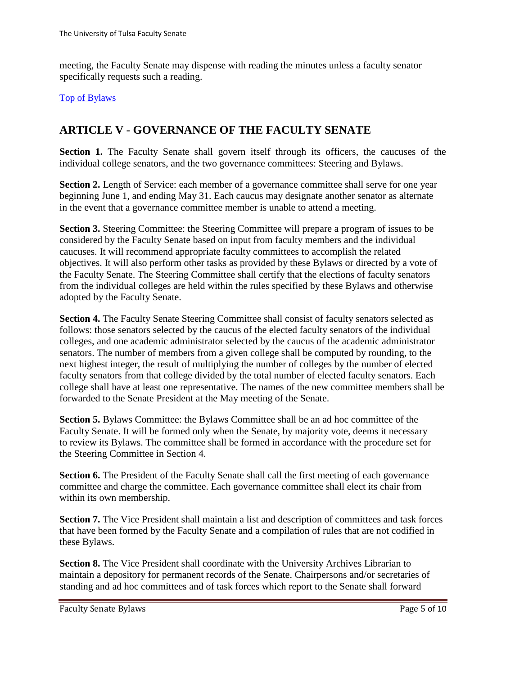meeting, the Faculty Senate may dispense with reading the minutes unless a faculty senator specifically requests such a reading.

#### [Top of Bylaws](#page-0-2)

### <span id="page-4-0"></span>**ARTICLE V - GOVERNANCE OF THE FACULTY SENATE**

Section 1. The Faculty Senate shall govern itself through its officers, the caucuses of the individual college senators, and the two governance committees: Steering and Bylaws.

**Section 2.** Length of Service: each member of a governance committee shall serve for one year beginning June 1, and ending May 31. Each caucus may designate another senator as alternate in the event that a governance committee member is unable to attend a meeting.

**Section 3.** Steering Committee: the Steering Committee will prepare a program of issues to be considered by the Faculty Senate based on input from faculty members and the individual caucuses. It will recommend appropriate faculty committees to accomplish the related objectives. It will also perform other tasks as provided by these Bylaws or directed by a vote of the Faculty Senate. The Steering Committee shall certify that the elections of faculty senators from the individual colleges are held within the rules specified by these Bylaws and otherwise adopted by the Faculty Senate.

**Section 4.** The Faculty Senate Steering Committee shall consist of faculty senators selected as follows: those senators selected by the caucus of the elected faculty senators of the individual colleges, and one academic administrator selected by the caucus of the academic administrator senators. The number of members from a given college shall be computed by rounding, to the next highest integer, the result of multiplying the number of colleges by the number of elected faculty senators from that college divided by the total number of elected faculty senators. Each college shall have at least one representative. The names of the new committee members shall be forwarded to the Senate President at the May meeting of the Senate.

**Section 5.** Bylaws Committee: the Bylaws Committee shall be an ad hoc committee of the Faculty Senate. It will be formed only when the Senate, by majority vote, deems it necessary to review its Bylaws. The committee shall be formed in accordance with the procedure set for the Steering Committee in Section 4.

**Section 6.** The President of the Faculty Senate shall call the first meeting of each governance committee and charge the committee. Each governance committee shall elect its chair from within its own membership.

**Section 7.** The Vice President shall maintain a list and description of committees and task forces that have been formed by the Faculty Senate and a compilation of rules that are not codified in these Bylaws.

**Section 8.** The Vice President shall coordinate with the University Archives Librarian to maintain a depository for permanent records of the Senate. Chairpersons and/or secretaries of standing and ad hoc committees and of task forces which report to the Senate shall forward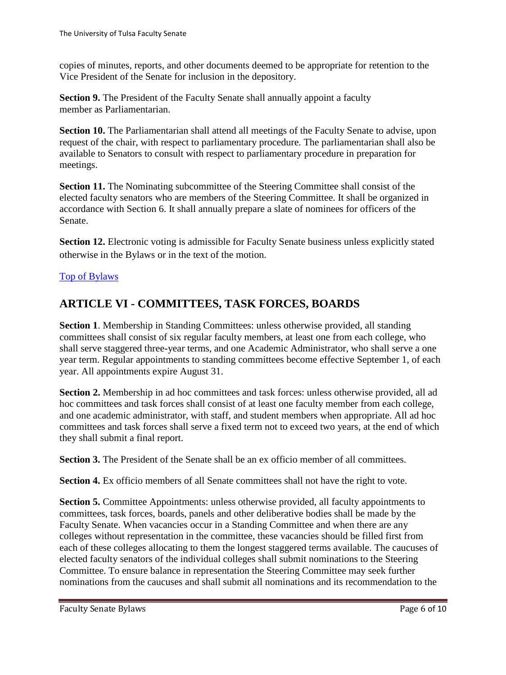copies of minutes, reports, and other documents deemed to be appropriate for retention to the Vice President of the Senate for inclusion in the depository.

**Section 9.** The President of the Faculty Senate shall annually appoint a faculty member as Parliamentarian.

**Section 10.** The Parliamentarian shall attend all meetings of the Faculty Senate to advise, upon request of the chair, with respect to parliamentary procedure. The parliamentarian shall also be available to Senators to consult with respect to parliamentary procedure in preparation for meetings.

**Section 11.** The Nominating subcommittee of the Steering Committee shall consist of the elected faculty senators who are members of the Steering Committee. It shall be organized in accordance with Section 6. It shall annually prepare a slate of nominees for officers of the Senate.

**Section 12.** Electronic voting is admissible for Faculty Senate business unless explicitly stated otherwise in the Bylaws or in the text of the motion.

#### [Top of Bylaws](#page-0-2)

## <span id="page-5-0"></span>**ARTICLE VI - COMMITTEES, TASK FORCES, BOARDS**

**Section 1**. Membership in Standing Committees: unless otherwise provided, all standing committees shall consist of six regular faculty members, at least one from each college, who shall serve staggered three-year terms, and one Academic Administrator, who shall serve a one year term. Regular appointments to standing committees become effective September 1, of each year. All appointments expire August 31.

Section 2. Membership in ad hoc committees and task forces: unless otherwise provided, all ad hoc committees and task forces shall consist of at least one faculty member from each college, and one academic administrator, with staff, and student members when appropriate. All ad hoc committees and task forces shall serve a fixed term not to exceed two years, at the end of which they shall submit a final report.

**Section 3.** The President of the Senate shall be an ex officio member of all committees.

**Section 4.** Ex officio members of all Senate committees shall not have the right to vote.

**Section 5.** Committee Appointments: unless otherwise provided, all faculty appointments to committees, task forces, boards, panels and other deliberative bodies shall be made by the Faculty Senate. When vacancies occur in a Standing Committee and when there are any colleges without representation in the committee, these vacancies should be filled first from each of these colleges allocating to them the longest staggered terms available. The caucuses of elected faculty senators of the individual colleges shall submit nominations to the Steering Committee. To ensure balance in representation the Steering Committee may seek further nominations from the caucuses and shall submit all nominations and its recommendation to the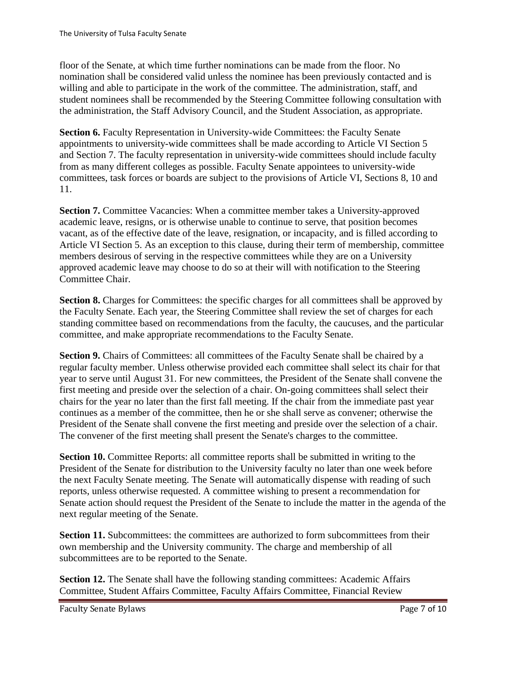floor of the Senate, at which time further nominations can be made from the floor. No nomination shall be considered valid unless the nominee has been previously contacted and is willing and able to participate in the work of the committee. The administration, staff, and student nominees shall be recommended by the Steering Committee following consultation with the administration, the Staff Advisory Council, and the Student Association, as appropriate.

**Section 6.** Faculty Representation in University-wide Committees: the Faculty Senate appointments to university-wide committees shall be made according to Article VI Section 5 and Section 7. The faculty representation in university-wide committees should include faculty from as many different colleges as possible. Faculty Senate appointees to university-wide committees, task forces or boards are subject to the provisions of Article VI, Sections 8, 10 and 11.

**Section 7.** Committee Vacancies: When a committee member takes a University-approved academic leave, resigns, or is otherwise unable to continue to serve, that position becomes vacant, as of the effective date of the leave, resignation, or incapacity, and is filled according to Article VI Section 5. As an exception to this clause, during their term of membership, committee members desirous of serving in the respective committees while they are on a University approved academic leave may choose to do so at their will with notification to the Steering Committee Chair.

**Section 8.** Charges for Committees: the specific charges for all committees shall be approved by the Faculty Senate. Each year, the Steering Committee shall review the set of charges for each standing committee based on recommendations from the faculty, the caucuses, and the particular committee, and make appropriate recommendations to the Faculty Senate.

Section 9. Chairs of Committees: all committees of the Faculty Senate shall be chaired by a regular faculty member. Unless otherwise provided each committee shall select its chair for that year to serve until August 31. For new committees, the President of the Senate shall convene the first meeting and preside over the selection of a chair. On-going committees shall select their chairs for the year no later than the first fall meeting. If the chair from the immediate past year continues as a member of the committee, then he or she shall serve as convener; otherwise the President of the Senate shall convene the first meeting and preside over the selection of a chair. The convener of the first meeting shall present the Senate's charges to the committee.

**Section 10.** Committee Reports: all committee reports shall be submitted in writing to the President of the Senate for distribution to the University faculty no later than one week before the next Faculty Senate meeting. The Senate will automatically dispense with reading of such reports, unless otherwise requested. A committee wishing to present a recommendation for Senate action should request the President of the Senate to include the matter in the agenda of the next regular meeting of the Senate.

Section 11. Subcommittees: the committees are authorized to form subcommittees from their own membership and the University community. The charge and membership of all subcommittees are to be reported to the Senate.

**Section 12.** The Senate shall have the following standing committees: Academic Affairs Committee, Student Affairs Committee, Faculty Affairs Committee, Financial Review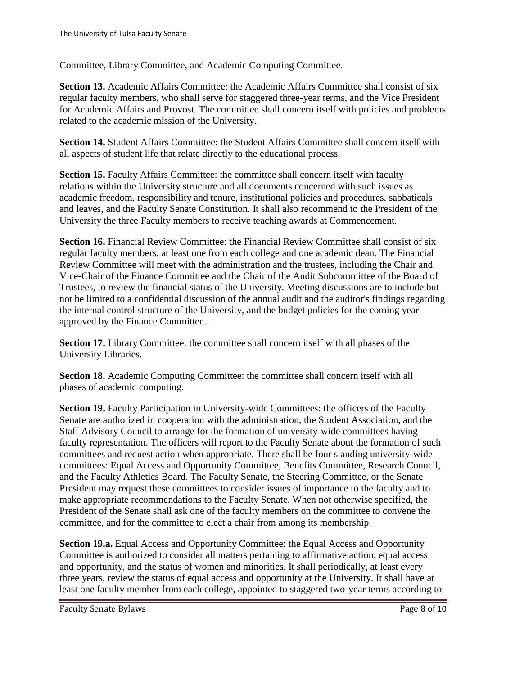Committee, Library Committee, and Academic Computing Committee.

Section 13. Academic Affairs Committee: the Academic Affairs Committee shall consist of six regular faculty members, who shall serve for staggered three-year terms, and the Vice President for Academic Affairs and Provost. The committee shall concern itself with policies and problems related to the academic mission of the University.

**Section 14.** Student Affairs Committee: the Student Affairs Committee shall concern itself with all aspects of student life that relate directly to the educational process.

**Section 15.** Faculty Affairs Committee: the committee shall concern itself with faculty relations within the University structure and all documents concerned with such issues as academic freedom, responsibility and tenure, institutional policies and procedures, sabbaticals and leaves, and the Faculty Senate Constitution. It shall also recommend to the President of the University the three Faculty members to receive teaching awards at Commencement.

**Section 16.** Financial Review Committee: the Financial Review Committee shall consist of six regular faculty members, at least one from each college and one academic dean. The Financial Review Committee will meet with the administration and the trustees, including the Chair and Vice-Chair of the Finance Committee and the Chair of the Audit Subcommittee of the Board of Trustees, to review the financial status of the University. Meeting discussions are to include but not be limited to a confidential discussion of the annual audit and the auditor's findings regarding the internal control structure of the University, and the budget policies for the coming year approved by the Finance Committee.

Section 17. Library Committee: the committee shall concern itself with all phases of the University Libraries.

**Section 18.** Academic Computing Committee: the committee shall concern itself with all phases of academic computing.

**Section 19.** Faculty Participation in University-wide Committees: the officers of the Faculty Senate are authorized in cooperation with the administration, the Student Association, and the Staff Advisory Council to arrange for the formation of university-wide committees having faculty representation. The officers will report to the Faculty Senate about the formation of such committees and request action when appropriate. There shall be four standing university-wide committees: Equal Access and Opportunity Committee, Benefits Committee, Research Council, and the Faculty Athletics Board. The Faculty Senate, the Steering Committee, or the Senate President may request these committees to consider issues of importance to the faculty and to make appropriate recommendations to the Faculty Senate. When not otherwise specified, the President of the Senate shall ask one of the faculty members on the committee to convene the committee, and for the committee to elect a chair from among its membership.

**Section 19.a.** Equal Access and Opportunity Committee: the Equal Access and Opportunity Committee is authorized to consider all matters pertaining to affirmative action, equal access and opportunity, and the status of women and minorities. It shall periodically, at least every three years, review the status of equal access and opportunity at the University. It shall have at least one faculty member from each college, appointed to staggered two-year terms according to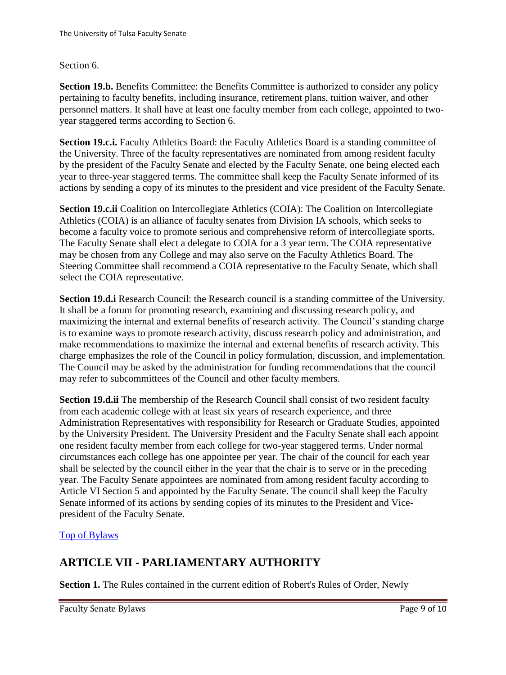#### Section 6.

**Section 19.b.** Benefits Committee: the Benefits Committee is authorized to consider any policy pertaining to faculty benefits, including insurance, retirement plans, tuition waiver, and other personnel matters. It shall have at least one faculty member from each college, appointed to twoyear staggered terms according to Section 6.

**Section 19.c.i.** Faculty Athletics Board: the Faculty Athletics Board is a standing committee of the University. Three of the faculty representatives are nominated from among resident faculty by the president of the Faculty Senate and elected by the Faculty Senate, one being elected each year to three-year staggered terms. The committee shall keep the Faculty Senate informed of its actions by sending a copy of its minutes to the president and vice president of the Faculty Senate.

**Section 19.c.ii** Coalition on Intercollegiate Athletics (COIA): The Coalition on Intercollegiate Athletics (COIA) is an alliance of faculty senates from Division IA schools, which seeks to become a faculty voice to promote serious and comprehensive reform of intercollegiate sports. The Faculty Senate shall elect a delegate to COIA for a 3 year term. The COIA representative may be chosen from any College and may also serve on the Faculty Athletics Board. The Steering Committee shall recommend a COIA representative to the Faculty Senate, which shall select the COIA representative.

**Section 19.d.i** Research Council: the Research council is a standing committee of the University. It shall be a forum for promoting research, examining and discussing research policy, and maximizing the internal and external benefits of research activity. The Council's standing charge is to examine ways to promote research activity, discuss research policy and administration, and make recommendations to maximize the internal and external benefits of research activity. This charge emphasizes the role of the Council in policy formulation, discussion, and implementation. The Council may be asked by the administration for funding recommendations that the council may refer to subcommittees of the Council and other faculty members.

**Section 19.d.ii** The membership of the Research Council shall consist of two resident faculty from each academic college with at least six years of research experience, and three Administration Representatives with responsibility for Research or Graduate Studies, appointed by the University President. The University President and the Faculty Senate shall each appoint one resident faculty member from each college for two-year staggered terms. Under normal circumstances each college has one appointee per year. The chair of the council for each year shall be selected by the council either in the year that the chair is to serve or in the preceding year. The Faculty Senate appointees are nominated from among resident faculty according to Article VI Section 5 and appointed by the Faculty Senate. The council shall keep the Faculty Senate informed of its actions by sending copies of its minutes to the President and Vicepresident of the Faculty Senate.

#### [Top of Bylaws](#page-0-2)

## <span id="page-8-0"></span>**ARTICLE VII - PARLIAMENTARY AUTHORITY**

**Section 1.** The Rules contained in the current edition of Robert's Rules of Order, Newly